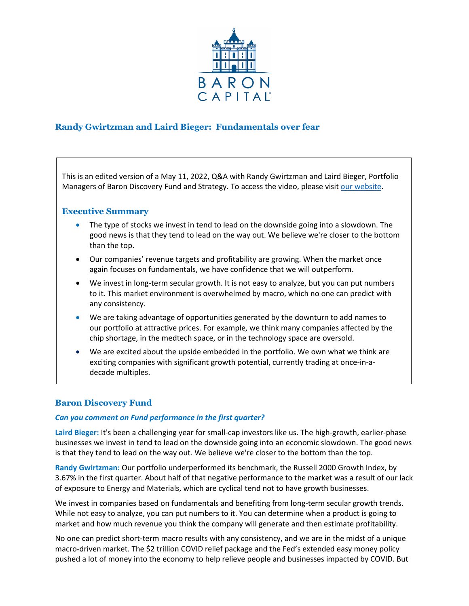

# **Randy Gwirtzman and Laird Bieger: Fundamentals over fear**

This is an edited version of a May 11, 2022, Q&A with Randy Gwirtzman and Laird Bieger, Portfolio Managers of Baron Discovery Fund and Strategy. To access the video, please visit [our website.](https://www.baronfunds.com/insights/conference-calls)

## **Executive Summary**

- The type of stocks we invest in tend to lead on the downside going into a slowdown. The good news is that they tend to lead on the way out. We believe we're closer to the bottom than the top.
- Our companies' revenue targets and profitability are growing. When the market once again focuses on fundamentals, we have confidence that we will outperform.
- We invest in long-term secular growth. It is not easy to analyze, but you can put numbers to it. This market environment is overwhelmed by macro, which no one can predict with any consistency.
- We are taking advantage of opportunities generated by the downturn to add names to our portfolio at attractive prices. For example, we think many companies affected by the chip shortage, in the medtech space, or in the technology space are oversold.
- We are excited about the upside embedded in the portfolio. We own what we think are exciting companies with significant growth potential, currently trading at once-in-adecade multiples.

## **Baron Discovery Fund**

### *Can you comment on Fund performance in the first quarter?*

**Laird Bieger:** It's been a challenging year for small-cap investors like us. The high-growth, earlier-phase businesses we invest in tend to lead on the downside going into an economic slowdown. The good news is that they tend to lead on the way out. We believe we're closer to the bottom than the top.

**Randy Gwirtzman:** Our portfolio underperformed its benchmark, the Russell 2000 Growth Index, by 3.67% in the first quarter. About half of that negative performance to the market was a result of our lack of exposure to Energy and Materials, which are cyclical tend not to have growth businesses.

We invest in companies based on fundamentals and benefiting from long-term secular growth trends. While not easy to analyze, you can put numbers to it. You can determine when a product is going to market and how much revenue you think the company will generate and then estimate profitability.

No one can predict short-term macro results with any consistency, and we are in the midst of a unique macro-driven market. The \$2 trillion COVID relief package and the Fed's extended easy money policy pushed a lot of money into the economy to help relieve people and businesses impacted by COVID. But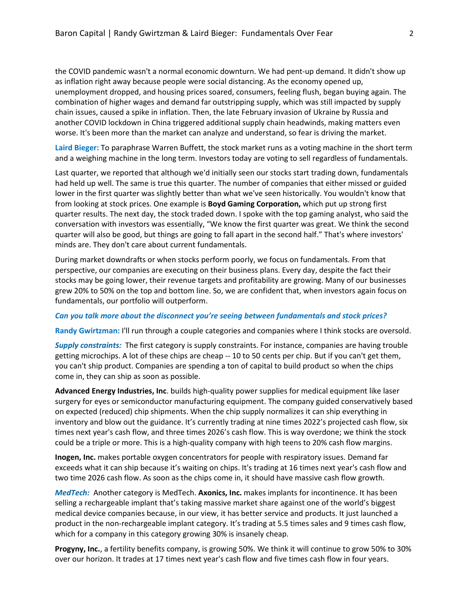the COVID pandemic wasn't a normal economic downturn. We had pent-up demand. It didn't show up as inflation right away because people were social distancing. As the economy opened up, unemployment dropped, and housing prices soared, consumers, feeling flush, began buying again. The combination of higher wages and demand far outstripping supply, which was still impacted by supply chain issues, caused a spike in inflation. Then, the late February invasion of Ukraine by Russia and another COVID lockdown in China triggered additional supply chain headwinds, making matters even worse. It's been more than the market can analyze and understand, so fear is driving the market.

**Laird Bieger:** To paraphrase Warren Buffett, the stock market runs as a voting machine in the short term and a weighing machine in the long term. Investors today are voting to sell regardless of fundamentals.

Last quarter, we reported that although we'd initially seen our stocks start trading down, fundamentals had held up well. The same is true this quarter. The number of companies that either missed or guided lower in the first quarter was slightly better than what we've seen historically. You wouldn't know that from looking at stock prices. One example is **Boyd Gaming Corporation,** which put up strong first quarter results. The next day, the stock traded down. I spoke with the top gaming analyst, who said the conversation with investors was essentially, "We know the first quarter was great. We think the second quarter will also be good, but things are going to fall apart in the second half." That's where investors' minds are. They don't care about current fundamentals.

During market downdrafts or when stocks perform poorly, we focus on fundamentals. From that perspective, our companies are executing on their business plans. Every day, despite the fact their stocks may be going lower, their revenue targets and profitability are growing. Many of our businesses grew 20% to 50% on the top and bottom line. So, we are confident that, when investors again focus on fundamentals, our portfolio will outperform.

#### *Can you talk more about the disconnect you're seeing between fundamentals and stock prices?*

**Randy Gwirtzman:** I'll run through a couple categories and companies where I think stocks are oversold.

*Supply constraints:* The first category is supply constraints. For instance, companies are having trouble getting microchips. A lot of these chips are cheap -- 10 to 50 cents per chip. But if you can't get them, you can't ship product. Companies are spending a ton of capital to build product so when the chips come in, they can ship as soon as possible.

**Advanced Energy Industries, Inc**. builds high-quality power supplies for medical equipment like laser surgery for eyes or semiconductor manufacturing equipment. The company guided conservatively based on expected (reduced) chip shipments. When the chip supply normalizes it can ship everything in inventory and blow out the guidance. It's currently trading at nine times 2022's projected cash flow, six times next year's cash flow, and three times 2026's cash flow. This is way overdone; we think the stock could be a triple or more. This is a high-quality company with high teens to 20% cash flow margins.

**Inogen, Inc.** makes portable oxygen concentrators for people with respiratory issues. Demand far exceeds what it can ship because it's waiting on chips. It's trading at 16 times next year's cash flow and two time 2026 cash flow. As soon as the chips come in, it should have massive cash flow growth.

*MedTech:* Another category is MedTech. **Axonics, Inc.** makes implants for incontinence. It has been selling a rechargeable implant that's taking massive market share against one of the world's biggest medical device companies because, in our view, it has better service and products. It just launched a product in the non-rechargeable implant category. It's trading at 5.5 times sales and 9 times cash flow, which for a company in this category growing 30% is insanely cheap.

**Progyny, Inc.**, a fertility benefits company, is growing 50%. We think it will continue to grow 50% to 30% over our horizon. It trades at 17 times next year's cash flow and five times cash flow in four years.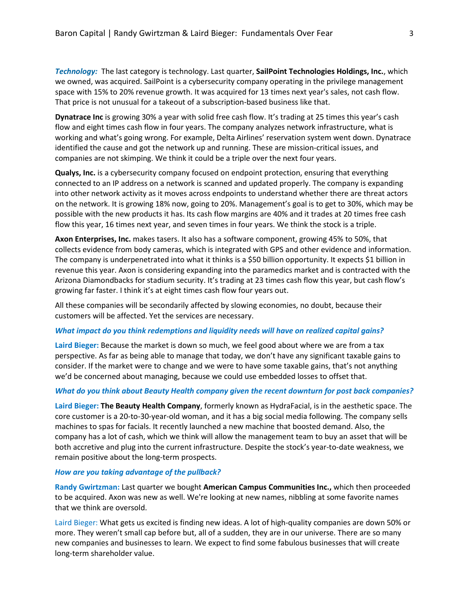*Technology:* The last category is technology. Last quarter, **SailPoint Technologies Holdings, Inc.**, which we owned, was acquired. SailPoint is a cybersecurity company operating in the privilege management space with 15% to 20% revenue growth. It was acquired for 13 times next year's sales, not cash flow. That price is not unusual for a takeout of a subscription-based business like that.

**Dynatrace Inc** is growing 30% a year with solid free cash flow. It's trading at 25 times this year's cash flow and eight times cash flow in four years. The company analyzes network infrastructure, what is working and what's going wrong. For example, Delta Airlines' reservation system went down. Dynatrace identified the cause and got the network up and running. These are mission-critical issues, and companies are not skimping. We think it could be a triple over the next four years.

**Qualys, Inc.** is a cybersecurity company focused on endpoint protection, ensuring that everything connected to an IP address on a network is scanned and updated properly. The company is expanding into other network activity as it moves across endpoints to understand whether there are threat actors on the network. It is growing 18% now, going to 20%. Management's goal is to get to 30%, which may be possible with the new products it has. Its cash flow margins are 40% and it trades at 20 times free cash flow this year, 16 times next year, and seven times in four years. We think the stock is a triple.

**Axon Enterprises, Inc.** makes tasers. It also has a software component, growing 45% to 50%, that collects evidence from body cameras, which is integrated with GPS and other evidence and information. The company is underpenetrated into what it thinks is a \$50 billion opportunity. It expects \$1 billion in revenue this year. Axon is considering expanding into the paramedics market and is contracted with the Arizona Diamondbacks for stadium security. It's trading at 23 times cash flow this year, but cash flow's growing far faster. I think it's at eight times cash flow four years out.

All these companies will be secondarily affected by slowing economies, no doubt, because their customers will be affected. Yet the services are necessary.

#### *What impact do you think redemptions and liquidity needs will have on realized capital gains?*

**Laird Bieger:** Because the market is down so much, we feel good about where we are from a tax perspective. As far as being able to manage that today, we don't have any significant taxable gains to consider. If the market were to change and we were to have some taxable gains, that's not anything we'd be concerned about managing, because we could use embedded losses to offset that.

#### *What do you think about Beauty Health company given the recent downturn for post back companies?*

**Laird Bieger: The Beauty Health Company**, formerly known as HydraFacial, is in the aesthetic space. The core customer is a 20-to-30-year-old woman, and it has a big social media following. The company sells machines to spas for facials. It recently launched a new machine that boosted demand. Also, the company has a lot of cash, which we think will allow the management team to buy an asset that will be both accretive and plug into the current infrastructure. Despite the stock's year-to-date weakness, we remain positive about the long-term prospects.

#### *How are you taking advantage of the pullback?*

**Randy Gwirtzman:** Last quarter we bought **American Campus Communities Inc.,** which then proceeded to be acquired. Axon was new as well. We're looking at new names, nibbling at some favorite names that we think are oversold.

Laird Bieger: What gets us excited is finding new ideas. A lot of high-quality companies are down 50% or more. They weren't small cap before but, all of a sudden, they are in our universe. There are so many new companies and businesses to learn. We expect to find some fabulous businesses that will create long-term shareholder value.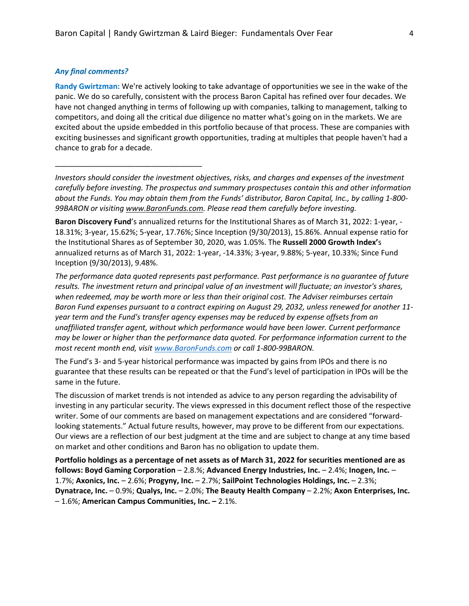### *Any final comments?*

\_\_\_\_\_\_\_\_\_\_\_\_\_\_\_\_\_\_\_\_\_\_\_\_\_\_\_\_\_\_\_\_\_\_\_

**Randy Gwirtzman:** We're actively looking to take advantage of opportunities we see in the wake of the panic. We do so carefully, consistent with the process Baron Capital has refined over four decades. We have not changed anything in terms of following up with companies, talking to management, talking to competitors, and doing all the critical due diligence no matter what's going on in the markets. We are excited about the upside embedded in this portfolio because of that process. These are companies with exciting businesses and significant growth opportunities, trading at multiples that people haven't had a chance to grab for a decade.

*Investors should consider the investment objectives, risks, and charges and expenses of the investment carefully before investing. The prospectus and summary prospectuses contain this and other information about the Funds. You may obtain them from the Funds' distributor, Baron Capital, Inc., by calling 1-800- 99BARON or visiting [www.BaronFunds.com.](http://www.baronfunds.com/) Please read them carefully before investing.*

**Baron Discovery Fund**'s annualized returns for the Institutional Shares as of March 31, 2022: 1-year, - 18.31%; 3-year, 15.62%; 5-year, 17.76%; Since Inception (9/30/2013), 15.86%. Annual expense ratio for the Institutional Shares as of September 30, 2020, was 1.05%. The **Russell 2000 Growth Index'**s annualized returns as of March 31, 2022: 1-year, -14.33%; 3-year, 9.88%; 5-year, 10.33%; Since Fund Inception (9/30/2013), 9.48%.

*The performance data quoted represents past performance. Past performance is no guarantee of future results. The investment return and principal value of an investment will fluctuate; an investor's shares, when redeemed, may be worth more or less than their original cost. The Adviser reimburses certain Baron Fund expenses pursuant to a contract expiring on August 29, 2032, unless renewed for another 11 year term and the Fund's transfer agency expenses may be reduced by expense offsets from an unaffiliated transfer agent, without which performance would have been lower. Current performance may be lower or higher than the performance data quoted. For performance information current to the most recent month end, visi[t www.BaronFunds.com](http://www.baronfunds.com/) or call 1-800-99BARON.*

The Fund's 3- and 5-year historical performance was impacted by gains from IPOs and there is no guarantee that these results can be repeated or that the Fund's level of participation in IPOs will be the same in the future.

The discussion of market trends is not intended as advice to any person regarding the advisability of investing in any particular security. The views expressed in this document reflect those of the respective writer. Some of our comments are based on management expectations and are considered "forwardlooking statements." Actual future results, however, may prove to be different from our expectations. Our views are a reflection of our best judgment at the time and are subject to change at any time based on market and other conditions and Baron has no obligation to update them.

**Portfolio holdings as a percentage of net assets as of March 31, 2022 for securities mentioned are as follows: Boyd Gaming Corporation** – 2.8.%; **Advanced Energy Industries, Inc.** – 2.4%; **Inogen, Inc.** – 1.7%; **Axonics, Inc.** – 2.6%; **Progyny, Inc.** – 2.7%; **SailPoint Technologies Holdings, Inc.** – 2.3%; **Dynatrace, Inc.** – 0.9%; **Qualys, Inc.** – 2.0%; **The Beauty Health Company** – 2.2%; **Axon Enterprises, Inc.** – 1.6%; **American Campus Communities, Inc. –** 2.1%.